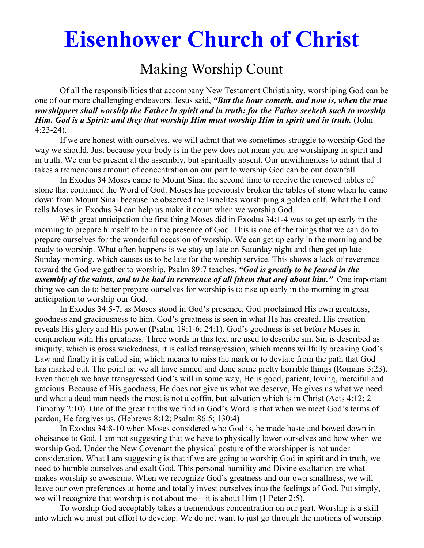# **Eisenhower Church of Christ**

## Making Worship Count

 Of all the responsibilities that accompany New Testament Christianity, worshiping God can be one of our more challenging endeavors. Jesus said, *"But the hour cometh, and now is, when the true worshippers shall worship the Father in spirit and in truth: for the Father seeketh such to worship Him. God is a Spirit: and they that worship Him must worship Him in spirit and in truth.* (John 4:23-24).

 If we are honest with ourselves, we will admit that we sometimes struggle to worship God the way we should. Just because your body is in the pew does not mean you are worshiping in spirit and in truth. We can be present at the assembly, but spiritually absent. Our unwillingness to admit that it takes a tremendous amount of concentration on our part to worship God can be our downfall.

 In Exodus 34 Moses came to Mount Sinai the second time to receive the renewed tables of stone that contained the Word of God. Moses has previously broken the tables of stone when he came down from Mount Sinai because he observed the Israelites worshiping a golden calf. What the Lord tells Moses in Exodus 34 can help us make it count when we worship God.

 With great anticipation the first thing Moses did in Exodus 34:1-4 was to get up early in the morning to prepare himself to be in the presence of God. This is one of the things that we can do to prepare ourselves for the wonderful occasion of worship. We can get up early in the morning and be ready to worship. What often happens is we stay up late on Saturday night and then get up late Sunday morning, which causes us to be late for the worship service. This shows a lack of reverence toward the God we gather to worship. Psalm 89:7 teaches, *"God is greatly to be feared in the assembly of the saints, and to be had in reverence of all [them that are] about him."* One important thing we can do to better prepare ourselves for worship is to rise up early in the morning in great anticipation to worship our God.

 In Exodus 34:5-7, as Moses stood in God's presence, God proclaimed His own greatness, goodness and graciousness to him. God's greatness is seen in what He has created. His creation reveals His glory and His power (Psalm. 19:1-6; 24:1). God's goodness is set before Moses in conjunction with His greatness. Three words in this text are used to describe sin. Sin is described as iniquity, which is gross wickedness, it is called transgression, which means willfully breaking God's Law and finally it is called sin, which means to miss the mark or to deviate from the path that God has marked out. The point is: we all have sinned and done some pretty horrible things (Romans 3:23). Even though we have transgressed God's will in some way, He is good, patient, loving, merciful and gracious. Because of His goodness, He does not give us what we deserve, He gives us what we need and what a dead man needs the most is not a coffin, but salvation which is in Christ (Acts 4:12; 2 Timothy 2:10). One of the great truths we find in God's Word is that when we meet God's terms of pardon, He forgives us. (Hebrews 8:12; Psalm 86:5; 130:4)

 In Exodus 34:8-10 when Moses considered who God is, he made haste and bowed down in obeisance to God. I am not suggesting that we have to physically lower ourselves and bow when we worship God. Under the New Covenant the physical posture of the worshipper is not under consideration. What I am suggesting is that if we are going to worship God in spirit and in truth, we need to humble ourselves and exalt God. This personal humility and Divine exaltation are what makes worship so awesome. When we recognize God's greatness and our own smallness, we will leave our own preferences at home and totally invest ourselves into the feelings of God. Put simply, we will recognize that worship is not about me—it is about Him (1 Peter 2:5).

 To worship God acceptably takes a tremendous concentration on our part. Worship is a skill into which we must put effort to develop. We do not want to just go through the motions of worship.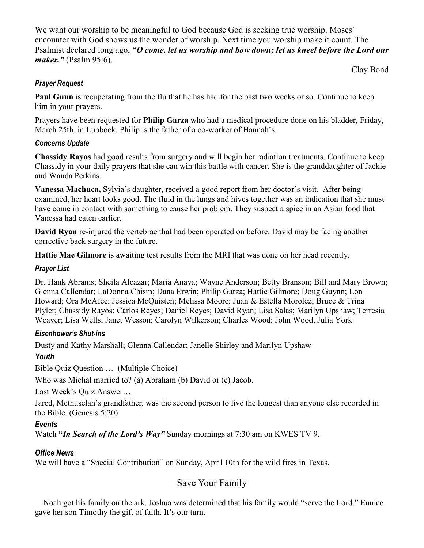We want our worship to be meaningful to God because God is seeking true worship. Moses' encounter with God shows us the wonder of worship. Next time you worship make it count. The Psalmist declared long ago, *"O come, let us worship and bow down; let us kneel before the Lord our maker."* (Psalm 95:6).

Clay Bond

#### *Prayer Request*

**Paul Gunn** is recuperating from the flu that he has had for the past two weeks or so. Continue to keep him in your prayers.

Prayers have been requested for **Philip Garza** who had a medical procedure done on his bladder, Friday, March 25th, in Lubbock. Philip is the father of a co-worker of Hannah's.

#### *Concerns Update*

**Chassidy Rayos** had good results from surgery and will begin her radiation treatments. Continue to keep Chassidy in your daily prayers that she can win this battle with cancer. She is the granddaughter of Jackie and Wanda Perkins.

**Vanessa Machuca,** Sylvia's daughter, received a good report from her doctor's visit. After being examined, her heart looks good. The fluid in the lungs and hives together was an indication that she must have come in contact with something to cause her problem. They suspect a spice in an Asian food that Vanessa had eaten earlier.

**David Ryan** re-injured the vertebrae that had been operated on before. David may be facing another corrective back surgery in the future.

**Hattie Mae Gilmore** is awaiting test results from the MRI that was done on her head recently.

#### *Prayer List*

Dr. Hank Abrams; Sheila Alcazar; Maria Anaya; Wayne Anderson; Betty Branson; Bill and Mary Brown; Glenna Callendar; LaDonna Chism; Dana Erwin; Philip Garza; Hattie Gilmore; Doug Guynn; Lon Howard; Ora McAfee; Jessica McQuisten; Melissa Moore; Juan & Estella Morolez; Bruce & Trina Plyler; Chassidy Rayos; Carlos Reyes; Daniel Reyes; David Ryan; Lisa Salas; Marilyn Upshaw; Terresia Weaver; Lisa Wells; Janet Wesson; Carolyn Wilkerson; Charles Wood; John Wood, Julia York.

#### *Eisenhower's Shut-ins*

Dusty and Kathy Marshall; Glenna Callendar; Janelle Shirley and Marilyn Upshaw

#### *Youth*

Bible Quiz Question … (Multiple Choice)

Who was Michal married to? (a) Abraham (b) David or (c) Jacob.

Last Week's Quiz Answer…

Jared, Methuselah's grandfather, was the second person to live the longest than anyone else recorded in the Bible. (Genesis 5:20)

#### *Events*

Watch **"***In Search of the Lord's Way"* Sunday mornings at 7:30 am on KWES TV 9.

#### *Office News*

We will have a "Special Contribution" on Sunday, April 10th for the wild fires in Texas.

### Save Your Family

 Noah got his family on the ark. Joshua was determined that his family would "serve the Lord." Eunice gave her son Timothy the gift of faith. It's our turn.